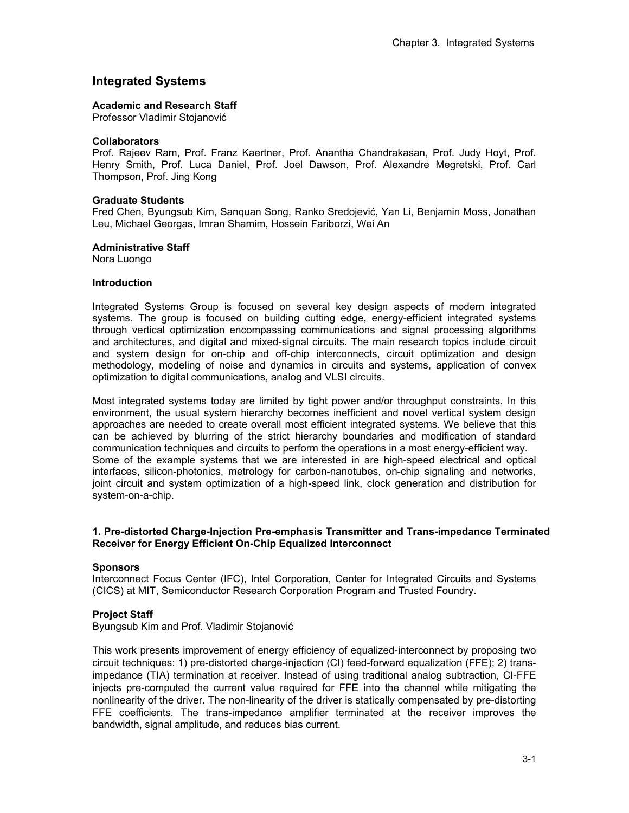# **Integrated Systems**

#### **Academic and Research Staff**

Professor Vladimir Stojanović

#### **Collaborators**

Prof. Rajeev Ram, Prof. Franz Kaertner, Prof. Anantha Chandrakasan, Prof. Judy Hoyt, Prof. Henry Smith, Prof. Luca Daniel, Prof. Joel Dawson, Prof. Alexandre Megretski, Prof. Carl Thompson, Prof. Jing Kong

#### **Graduate Students**

Fred Chen, Byungsub Kim, Sanquan Song, Ranko Sredojević, Yan Li, Benjamin Moss, Jonathan Leu, Michael Georgas, Imran Shamim, Hossein Fariborzi, Wei An

#### **Administrative Staff**

Nora Luongo

#### **Introduction**

Integrated Systems Group is focused on several key design aspects of modern integrated systems. The group is focused on building cutting edge, energy-efficient integrated systems through vertical optimization encompassing communications and signal processing algorithms and architectures, and digital and mixed-signal circuits. The main research topics include circuit and system design for on-chip and off-chip interconnects, circuit optimization and design methodology, modeling of noise and dynamics in circuits and systems, application of convex optimization to digital communications, analog and VLSI circuits.

Most integrated systems today are limited by tight power and/or throughput constraints. In this environment, the usual system hierarchy becomes inefficient and novel vertical system design approaches are needed to create overall most efficient integrated systems. We believe that this can be achieved by blurring of the strict hierarchy boundaries and modification of standard communication techniques and circuits to perform the operations in a most energy-efficient way. Some of the example systems that we are interested in are high-speed electrical and optical interfaces, silicon-photonics, metrology for carbon-nanotubes, on-chip signaling and networks, joint circuit and system optimization of a high-speed link, clock generation and distribution for system-on-a-chip.

### **1. Pre-distorted Charge-Injection Pre-emphasis Transmitter and Trans-impedance Terminated Receiver for Energy Efficient On-Chip Equalized Interconnect**

### **Sponsors**

Interconnect Focus Center (IFC), Intel Corporation, Center for Integrated Circuits and Systems (CICS) at MIT, Semiconductor Research Corporation Program and Trusted Foundry.

### **Project Staff**

Byungsub Kim and Prof. Vladimir Stojanović

This work presents improvement of energy efficiency of equalized-interconnect by proposing two circuit techniques: 1) pre-distorted charge-injection (CI) feed-forward equalization (FFE); 2) transimpedance (TIA) termination at receiver. Instead of using traditional analog subtraction, CI-FFE injects pre-computed the current value required for FFE into the channel while mitigating the nonlinearity of the driver. The non-linearity of the driver is statically compensated by pre-distorting FFE coefficients. The trans-impedance amplifier terminated at the receiver improves the bandwidth, signal amplitude, and reduces bias current.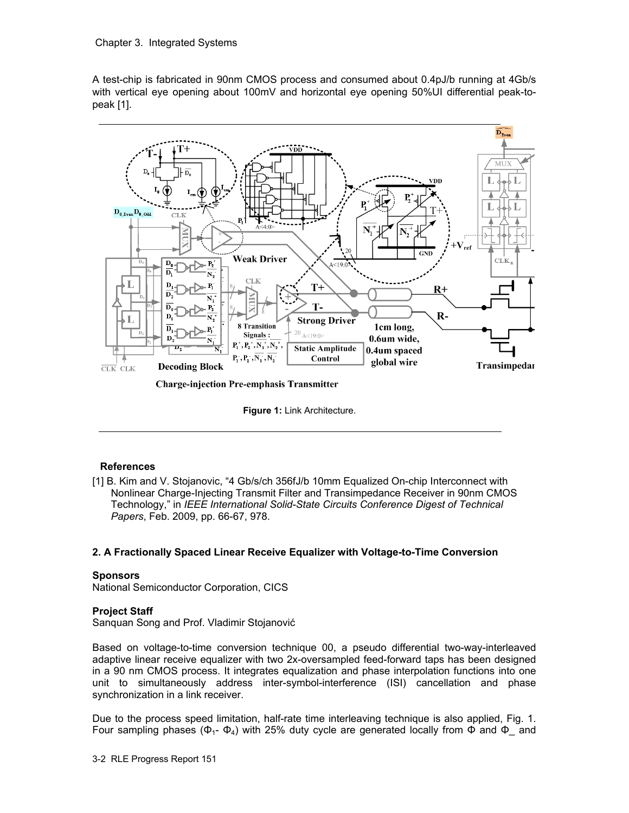A test-chip is fabricated in 90nm CMOS process and consumed about 0.4pJ/b running at 4Gb/s with vertical eye opening about 100mV and horizontal eye opening 50%UI differential peak-topeak [1].



**Charge-injection Pre-emphasis Transmitter** 

**Figure 1:** Link Architecture.

## **References**

[1] B. Kim and V. Stojanovic, "4 Gb/s/ch 356fJ/b 10mm Equalized On-chip Interconnect with Nonlinear Charge-Injecting Transmit Filter and Transimpedance Receiver in 90nm CMOS Technology," in *IEEE International Solid-State Circuits Conference Digest of Technical Papers*, Feb. 2009, pp. 66-67, 978.

## **2. A Fractionally Spaced Linear Receive Equalizer with Voltage-to-Time Conversion**

## **Sponsors**

National Semiconductor Corporation, CICS

## **Project Staff**

Sanquan Song and Prof. Vladimir Stojanović

Based on voltage-to-time conversion technique 00, a pseudo differential two-way-interleaved adaptive linear receive equalizer with two 2x-oversampled feed-forward taps has been designed in a 90 nm CMOS process. It integrates equalization and phase interpolation functions into one unit to simultaneously address inter-symbol-interference (ISI) cancellation and phase synchronization in a link receiver.

Due to the process speed limitation, half-rate time interleaving technique is also applied, Fig. 1. Four sampling phases ( $Φ_1$ -  $Φ_4$ ) with 25% duty cycle are generated locally from  $Φ$  and  $Φ_$  and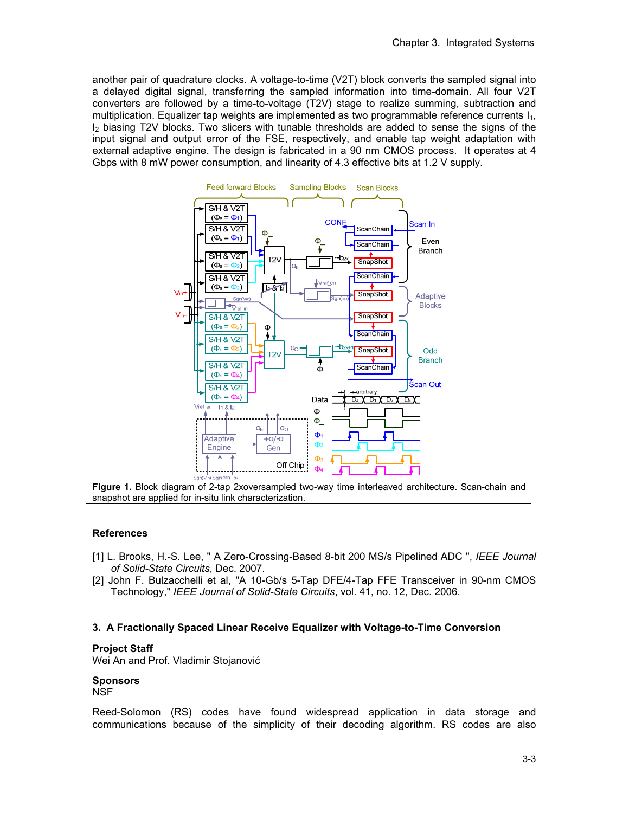another pair of quadrature clocks. A voltage-to-time (V2T) block converts the sampled signal into a delayed digital signal, transferring the sampled information into time-domain. All four V2T converters are followed by a time-to-voltage (T2V) stage to realize summing, subtraction and multiplication. Equalizer tap weights are implemented as two programmable reference currents  $I_1$ , I2 biasing T2V blocks. Two slicers with tunable thresholds are added to sense the signs of the input signal and output error of the FSE, respectively, and enable tap weight adaptation with external adaptive engine. The design is fabricated in a 90 nm CMOS process. It operates at 4 Gbps with 8 mW power consumption, and linearity of 4.3 effective bits at 1.2 V supply.



**Figure 1.** Block diagram of 2-tap 2xoversampled two-way time interleaved architecture. Scan-chain and snapshot are applied for in-situ link characterization.

### **References**

- [1] L. Brooks, H.-S. Lee, " A Zero-Crossing-Based 8-bit 200 MS/s Pipelined ADC ", *IEEE Journal of Solid-State Circuits*, Dec. 2007.
- [2] John F. Bulzacchelli et al, "A 10-Gb/s 5-Tap DFE/4-Tap FFE Transceiver in 90-nm CMOS Technology," *IEEE Journal of Solid-State Circuits*, vol. 41, no. 12, Dec. 2006.

### **3. A Fractionally Spaced Linear Receive Equalizer with Voltage-to-Time Conversion**

#### **Project Staff**

Wei An and Prof. Vladimir Stojanović

## **Sponsors**

NSF

Reed-Solomon (RS) codes have found widespread application in data storage and communications because of the simplicity of their decoding algorithm. RS codes are also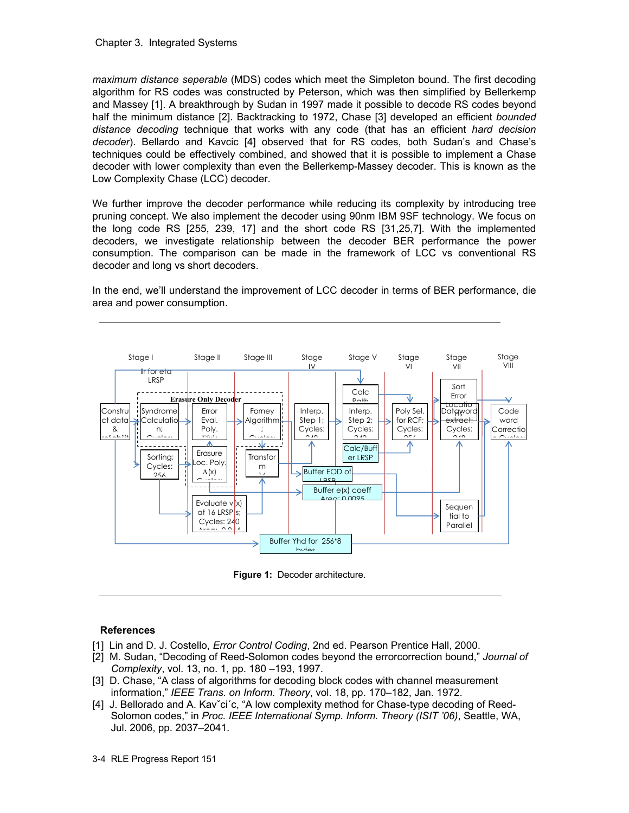*maximum distance seperable* (MDS) codes which meet the Simpleton bound. The first decoding algorithm for RS codes was constructed by Peterson, which was then simplified by Bellerkemp and Massey [1]. A breakthrough by Sudan in 1997 made it possible to decode RS codes beyond half the minimum distance [2]. Backtracking to 1972, Chase [3] developed an efficient *bounded distance decoding* technique that works with any code (that has an efficient *hard decision decoder*). Bellardo and Kavcic [4] observed that for RS codes, both Sudan's and Chase's techniques could be effectively combined, and showed that it is possible to implement a Chase decoder with lower complexity than even the Bellerkemp-Massey decoder. This is known as the Low Complexity Chase (LCC) decoder.

We further improve the decoder performance while reducing its complexity by introducing tree pruning concept. We also implement the decoder using 90nm IBM 9SF technology. We focus on the long code RS [255, 239, 17] and the short code RS [31,25,7]. With the implemented decoders, we investigate relationship between the decoder BER performance the power consumption. The comparison can be made in the framework of LCC vs conventional RS decoder and long vs short decoders.

In the end, we'll understand the improvement of LCC decoder in terms of BER performance, die area and power consumption.



**Figure 1:** Decoder architecture.

### **References**

- [1] Lin and D. J. Costello, *Error Control Coding*, 2nd ed. Pearson Prentice Hall, 2000.
- [2] M. Sudan, "Decoding of Reed-Solomon codes beyond the errorcorrection bound," *Journal of Complexity*, vol. 13, no. 1, pp. 180 –193, 1997.
- [3] D. Chase, "A class of algorithms for decoding block codes with channel measurement information," *IEEE Trans. on Inform. Theory*, vol. 18, pp. 170–182, Jan. 1972.
- [4] J. Bellorado and A. Kav<sup>o</sup>ci<sup>o</sup>c, "A low complexity method for Chase-type decoding of Reed-Solomon codes," in *Proc. IEEE International Symp. Inform. Theory (ISIT '06)*, Seattle, WA, Jul. 2006, pp. 2037–2041.